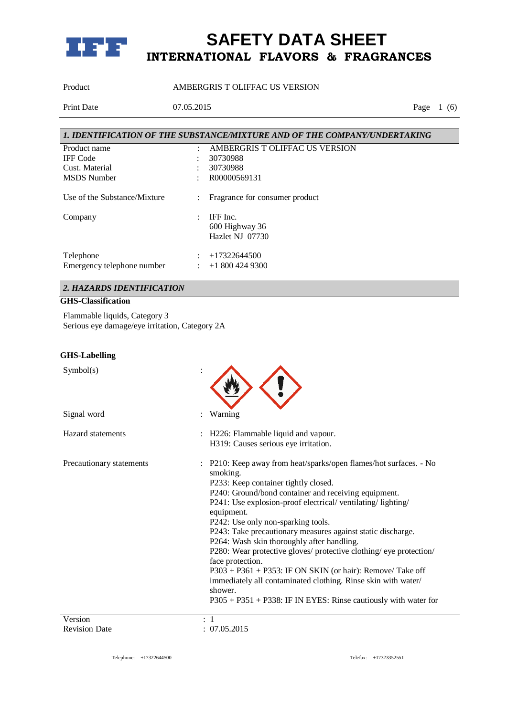

Product AMBERGRIS T OLIFFAC US VERSION

Print Date 07.05.2015 Page 1 (6)

|                              |                      | 1. IDENTIFICATION OF THE SUBSTANCE/MIXTURE AND OF THE COMPANY/UNDERTAKING |
|------------------------------|----------------------|---------------------------------------------------------------------------|
| Product name                 | ٠                    | AMBERGRIS TOLIFFAC US VERSION                                             |
| <b>IFF</b> Code              |                      | 30730988                                                                  |
| Cust. Material               |                      | 30730988                                                                  |
| <b>MSDS</b> Number           |                      | R00000569131                                                              |
| Use of the Substance/Mixture | $\ddot{\phantom{a}}$ | Fragrance for consumer product                                            |
| Company                      | ٠                    | IFF Inc.                                                                  |
|                              |                      | 600 Highway 36                                                            |
|                              |                      | Hazlet NJ 07730                                                           |
| Telephone                    |                      | $+17322644500$                                                            |
| Emergency telephone number   |                      | $+18004249300$                                                            |

## *2. HAZARDS IDENTIFICATION*

### **GHS-Classification**

Flammable liquids, Category 3 Serious eye damage/eye irritation, Category 2A

#### **GHS-Labelling**

| Symbol(s)                |                                                                                                                                                                                                                                                                                                                                                                                                                                                                                                                                                                                                                                                                                                                          |
|--------------------------|--------------------------------------------------------------------------------------------------------------------------------------------------------------------------------------------------------------------------------------------------------------------------------------------------------------------------------------------------------------------------------------------------------------------------------------------------------------------------------------------------------------------------------------------------------------------------------------------------------------------------------------------------------------------------------------------------------------------------|
| Signal word              | Warning                                                                                                                                                                                                                                                                                                                                                                                                                                                                                                                                                                                                                                                                                                                  |
| Hazard statements        | : H226: Flammable liquid and vapour.<br>H319: Causes serious eye irritation.                                                                                                                                                                                                                                                                                                                                                                                                                                                                                                                                                                                                                                             |
| Precautionary statements | : P210: Keep away from heat/sparks/open flames/hot surfaces. - No<br>smoking.<br>P233: Keep container tightly closed.<br>P240: Ground/bond container and receiving equipment.<br>P241: Use explosion-proof electrical/ventilating/lighting/<br>equipment.<br>P242: Use only non-sparking tools.<br>P243: Take precautionary measures against static discharge.<br>P264: Wash skin thoroughly after handling.<br>P280: Wear protective gloves/ protective clothing/ eye protection/<br>face protection.<br>$P303 + P361 + P353$ : IF ON SKIN (or hair): Remove/Take off<br>immediately all contaminated clothing. Rinse skin with water/<br>shower.<br>$P305 + P351 + P338$ : IF IN EYES: Rinse cautiously with water for |
| Version                  |                                                                                                                                                                                                                                                                                                                                                                                                                                                                                                                                                                                                                                                                                                                          |
| <b>Revision Date</b>     | 07.05.2015                                                                                                                                                                                                                                                                                                                                                                                                                                                                                                                                                                                                                                                                                                               |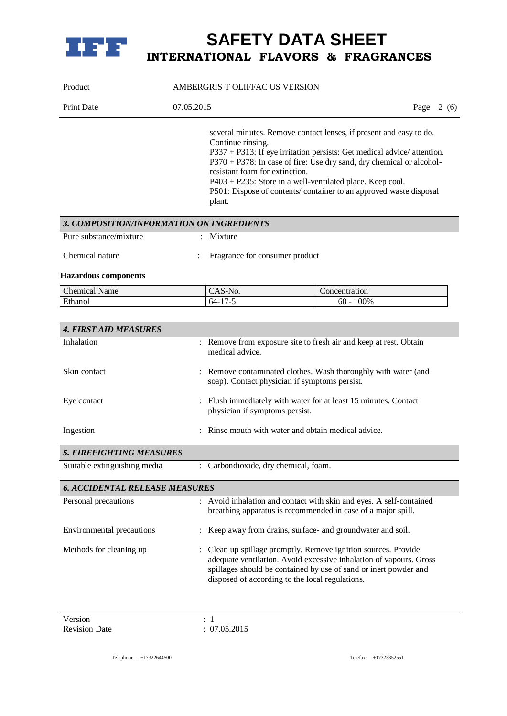

| Product                                   | AMBERGRIS T OLIFFAC US VERSION                                |                                                                                                                                                                                                                                                                                                                                                          |  |  |
|-------------------------------------------|---------------------------------------------------------------|----------------------------------------------------------------------------------------------------------------------------------------------------------------------------------------------------------------------------------------------------------------------------------------------------------------------------------------------------------|--|--|
| <b>Print Date</b>                         | 07.05.2015                                                    | Page $2(6)$                                                                                                                                                                                                                                                                                                                                              |  |  |
|                                           | Continue rinsing.<br>resistant foam for extinction.<br>plant. | several minutes. Remove contact lenses, if present and easy to do.<br>P337 + P313: If eye irritation persists: Get medical advice/ attention.<br>P370 + P378: In case of fire: Use dry sand, dry chemical or alcohol-<br>P403 + P235: Store in a well-ventilated place. Keep cool.<br>P501: Dispose of contents/ container to an approved waste disposal |  |  |
| 3. COMPOSITION/INFORMATION ON INGREDIENTS |                                                               |                                                                                                                                                                                                                                                                                                                                                          |  |  |
| Pure substance/mixture<br>Chemical nature | Mixture<br>Fragrance for consumer product                     |                                                                                                                                                                                                                                                                                                                                                          |  |  |
| <b>Hazardous</b> components               |                                                               |                                                                                                                                                                                                                                                                                                                                                          |  |  |
| <b>Chemical Name</b>                      | CAS-No.                                                       | Concentration                                                                                                                                                                                                                                                                                                                                            |  |  |
| Ethanol                                   | $64 - 17 - 5$                                                 | $60 - 100\%$                                                                                                                                                                                                                                                                                                                                             |  |  |
|                                           |                                                               |                                                                                                                                                                                                                                                                                                                                                          |  |  |
| <b>4. FIRST AID MEASURES</b>              |                                                               |                                                                                                                                                                                                                                                                                                                                                          |  |  |
| Inhalation                                | medical advice.                                               | : Remove from exposure site to fresh air and keep at rest. Obtain                                                                                                                                                                                                                                                                                        |  |  |
| Skin contact                              | soap). Contact physician if symptoms persist.                 | Remove contaminated clothes. Wash thoroughly with water (and                                                                                                                                                                                                                                                                                             |  |  |
| Eye contact                               | physician if symptoms persist.                                | : Flush immediately with water for at least 15 minutes. Contact                                                                                                                                                                                                                                                                                          |  |  |
| Ingestion                                 |                                                               | Rinse mouth with water and obtain medical advice.                                                                                                                                                                                                                                                                                                        |  |  |
| <b>5. FIREFIGHTING MEASURES</b>           |                                                               |                                                                                                                                                                                                                                                                                                                                                          |  |  |
| Suitable extinguishing media              | : Carbondioxide, dry chemical, foam.                          |                                                                                                                                                                                                                                                                                                                                                          |  |  |
| <b>6. ACCIDENTAL RELEASE MEASURES</b>     |                                                               |                                                                                                                                                                                                                                                                                                                                                          |  |  |
| Personal precautions                      |                                                               | : Avoid inhalation and contact with skin and eyes. A self-contained<br>breathing apparatus is recommended in case of a major spill.                                                                                                                                                                                                                      |  |  |
| Environmental precautions                 |                                                               | Keep away from drains, surface- and groundwater and soil.                                                                                                                                                                                                                                                                                                |  |  |
| Methods for cleaning up                   | disposed of according to the local regulations.               | Clean up spillage promptly. Remove ignition sources. Provide<br>adequate ventilation. Avoid excessive inhalation of vapours. Gross<br>spillages should be contained by use of sand or inert powder and                                                                                                                                                   |  |  |

Version : 1<br>Revision Date : 07.05.2015 Revision Date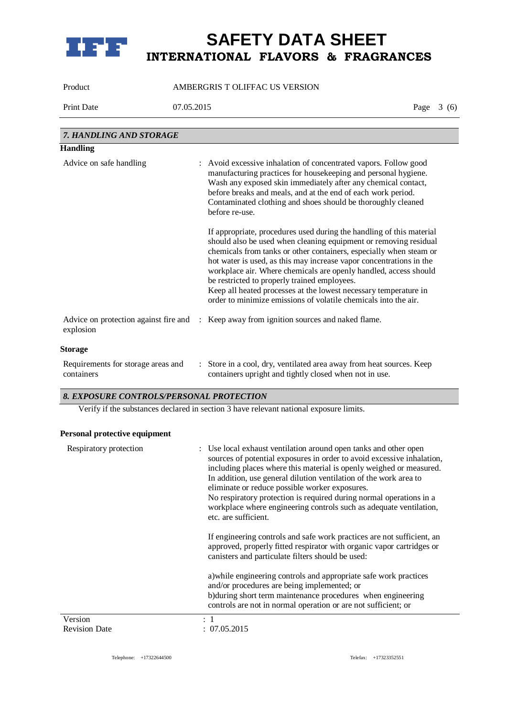

Product AMBERGRIS T OLIFFAC US VERSION

Print Date 07.05.2015 Page 3 (6)

| 7. HANDLING AND STORAGE                          |                                                                                                                                                                                                                                                                                                                                                                                                                                                                                                                                                  |
|--------------------------------------------------|--------------------------------------------------------------------------------------------------------------------------------------------------------------------------------------------------------------------------------------------------------------------------------------------------------------------------------------------------------------------------------------------------------------------------------------------------------------------------------------------------------------------------------------------------|
| <b>Handling</b>                                  |                                                                                                                                                                                                                                                                                                                                                                                                                                                                                                                                                  |
| Advice on safe handling                          | : Avoid excessive inhalation of concentrated vapors. Follow good<br>manufacturing practices for housekeeping and personal hygiene.<br>Wash any exposed skin immediately after any chemical contact,<br>before breaks and meals, and at the end of each work period.<br>Contaminated clothing and shoes should be thoroughly cleaned<br>before re-use.                                                                                                                                                                                            |
|                                                  | If appropriate, procedures used during the handling of this material<br>should also be used when cleaning equipment or removing residual<br>chemicals from tanks or other containers, especially when steam or<br>hot water is used, as this may increase vapor concentrations in the<br>workplace air. Where chemicals are openly handled, access should<br>be restricted to properly trained employees.<br>Keep all heated processes at the lowest necessary temperature in<br>order to minimize emissions of volatile chemicals into the air. |
| explosion                                        | Advice on protection against fire and : Keep away from ignition sources and naked flame.                                                                                                                                                                                                                                                                                                                                                                                                                                                         |
| <b>Storage</b>                                   |                                                                                                                                                                                                                                                                                                                                                                                                                                                                                                                                                  |
| Requirements for storage areas and<br>containers | : Store in a cool, dry, ventilated area away from heat sources. Keep<br>containers upright and tightly closed when not in use.                                                                                                                                                                                                                                                                                                                                                                                                                   |

### *8. EXPOSURE CONTROLS/PERSONAL PROTECTION*

Verify if the substances declared in section 3 have relevant national exposure limits.

### **Personal protective equipment**

| Respiratory protection | : Use local exhaust ventilation around open tanks and other open<br>sources of potential exposures in order to avoid excessive inhalation,<br>including places where this material is openly weighed or measured.<br>In addition, use general dilution ventilation of the work area to<br>eliminate or reduce possible worker exposures.<br>No respiratory protection is required during normal operations in a<br>workplace where engineering controls such as adequate ventilation,<br>etc. are sufficient. |
|------------------------|---------------------------------------------------------------------------------------------------------------------------------------------------------------------------------------------------------------------------------------------------------------------------------------------------------------------------------------------------------------------------------------------------------------------------------------------------------------------------------------------------------------|
|                        | If engineering controls and safe work practices are not sufficient, an<br>approved, properly fitted respirator with organic vapor cartridges or<br>canisters and particulate filters should be used:                                                                                                                                                                                                                                                                                                          |
|                        | a) while engineering controls and appropriate safe work practices<br>and/or procedures are being implemented; or<br>b) during short term maintenance procedures when engineering<br>controls are not in normal operation or are not sufficient; or                                                                                                                                                                                                                                                            |
| Version                |                                                                                                                                                                                                                                                                                                                                                                                                                                                                                                               |
| <b>Revision Date</b>   | : 07.05.2015                                                                                                                                                                                                                                                                                                                                                                                                                                                                                                  |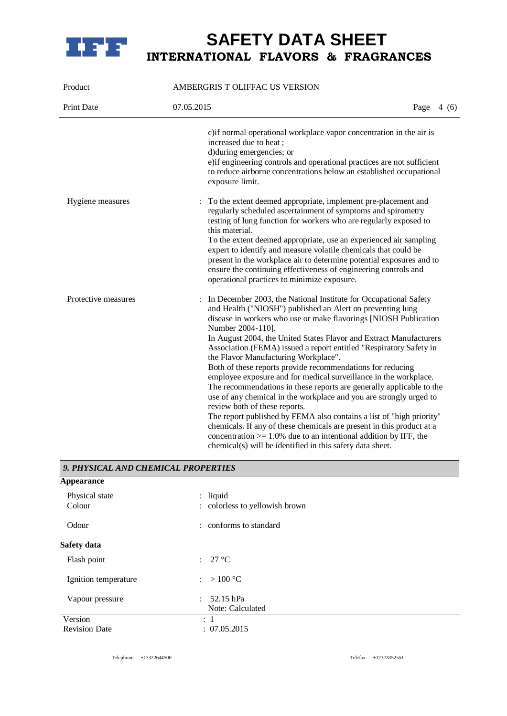

| Product                             | AMBERGRIS T OLIFFAC US VERSION                                                                                                                                                                                                                                                                                                 |  |  |  |
|-------------------------------------|--------------------------------------------------------------------------------------------------------------------------------------------------------------------------------------------------------------------------------------------------------------------------------------------------------------------------------|--|--|--|
| Print Date                          | 07.05.2015<br>Page $4(6)$                                                                                                                                                                                                                                                                                                      |  |  |  |
|                                     | c) if normal operational workplace vapor concentration in the air is<br>increased due to heat;<br>d) during emergencies; or<br>e) if engineering controls and operational practices are not sufficient<br>to reduce airborne concentrations below an established occupational<br>exposure limit.                               |  |  |  |
| Hygiene measures                    | To the extent deemed appropriate, implement pre-placement and<br>regularly scheduled ascertainment of symptoms and spirometry<br>testing of lung function for workers who are regularly exposed to<br>this material.                                                                                                           |  |  |  |
|                                     | To the extent deemed appropriate, use an experienced air sampling<br>expert to identify and measure volatile chemicals that could be<br>present in the workplace air to determine potential exposures and to<br>ensure the continuing effectiveness of engineering controls and<br>operational practices to minimize exposure. |  |  |  |
| Protective measures                 | In December 2003, the National Institute for Occupational Safety<br>and Health ("NIOSH") published an Alert on preventing lung<br>disease in workers who use or make flavorings [NIOSH Publication<br>Number 2004-110].                                                                                                        |  |  |  |
|                                     | In August 2004, the United States Flavor and Extract Manufacturers<br>Association (FEMA) issued a report entitled "Respiratory Safety in<br>the Flavor Manufacturing Workplace".                                                                                                                                               |  |  |  |
|                                     | Both of these reports provide recommendations for reducing<br>employee exposure and for medical surveillance in the workplace.<br>The recommendations in these reports are generally applicable to the<br>use of any chemical in the workplace and you are strongly urged to<br>review both of these reports.                  |  |  |  |
|                                     | The report published by FEMA also contains a list of "high priority"<br>chemicals. If any of these chemicals are present in this product at a<br>concentration $> = 1.0\%$ due to an intentional addition by IFF, the<br>chemical(s) will be identified in this safety data sheet.                                             |  |  |  |
| 9. PHYSICAL AND CHEMICAL PROPERTIES |                                                                                                                                                                                                                                                                                                                                |  |  |  |

| <b>Appearance</b>        |                                                 |
|--------------------------|-------------------------------------------------|
| Physical state<br>Colour | $:$ liquid<br>: colorless to yellowish brown    |
| Odour                    | : conforms to standard                          |
| Safety data              |                                                 |
| Flash point              | $: 27^{\circ}C$                                 |
| Ignition temperature     | : $>100 °C$                                     |
| Vapour pressure          | 52.15 hPa<br>$\mathbb{R}^+$<br>Note: Calculated |
| Version                  | : 1                                             |
| <b>Revision Date</b>     | : 07.05.2015                                    |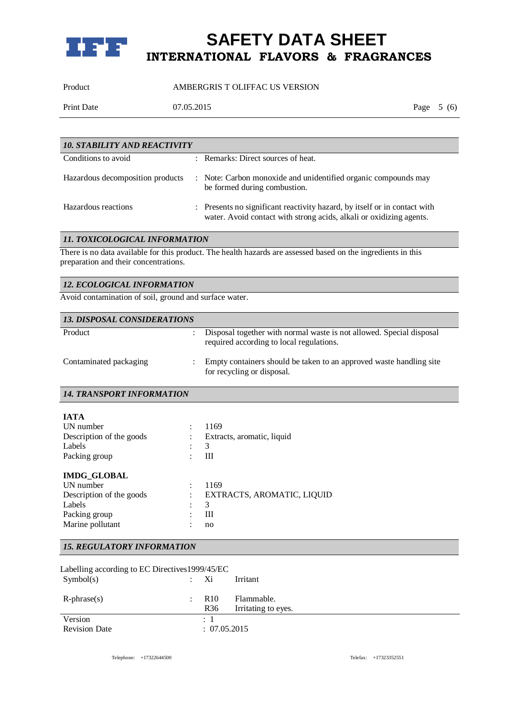

Product AMBERGRIS T OLIFFAC US VERSION

Print Date 07.05.2015 Page 5 (6)

| <b>10. STABILITY AND REACTIVITY</b> |  |                                                                                                                                                  |  |
|-------------------------------------|--|--------------------------------------------------------------------------------------------------------------------------------------------------|--|
| Conditions to avoid                 |  | : Remarks: Direct sources of heat.                                                                                                               |  |
| Hazardous decomposition products    |  | : Note: Carbon monoxide and unidentified organic compounds may<br>be formed during combustion.                                                   |  |
| Hazardous reactions                 |  | : Presents no significant reactivity hazard, by itself or in contact with<br>water. Avoid contact with strong acids, alkali or oxidizing agents. |  |

## *11. TOXICOLOGICAL INFORMATION*

There is no data available for this product. The health hazards are assessed based on the ingredients in this preparation and their concentrations.

Avoid contamination of soil, ground and surface water.

| <b>13. DISPOSAL CONSIDERATIONS</b> |                                                                                                                  |
|------------------------------------|------------------------------------------------------------------------------------------------------------------|
| Product                            | Disposal together with normal waste is not allowed. Special disposal<br>required according to local regulations. |
| Contaminated packaging             | Empty containers should be taken to an approved waste handling site<br>for recycling or disposal.                |

*14. TRANSPORT INFORMATION*

| <b>IATA</b>              |                            |
|--------------------------|----------------------------|
| UN number                | 1169                       |
| Description of the goods | Extracts, aromatic, liquid |
| Labels                   | 3                          |
| Packing group            | Ш                          |
| <b>IMDG GLOBAL</b>       |                            |
| UN number                | 1169                       |
| Description of the goods | EXTRACTS, AROMATIC, LIQUID |
| Labels                   | 3                          |
| Packing group            | Ш                          |
| Marine pollutant         | no                         |
|                          |                            |

### *15. REGULATORY INFORMATION*

| Labelling according to EC Directives 1999/45/EC |                      |                 |                     |
|-------------------------------------------------|----------------------|-----------------|---------------------|
| Symbol(s)                                       |                      | Xi              | Irritant            |
|                                                 |                      |                 |                     |
| $R$ -phrase $(s)$                               | $\ddot{\phantom{a}}$ | R <sub>10</sub> | Flammable.          |
|                                                 |                      | R <sub>36</sub> | Irritating to eyes. |
| Version                                         |                      | $\therefore$ 1  |                     |
| <b>Revision Date</b>                            |                      | : 07.05.2015    |                     |